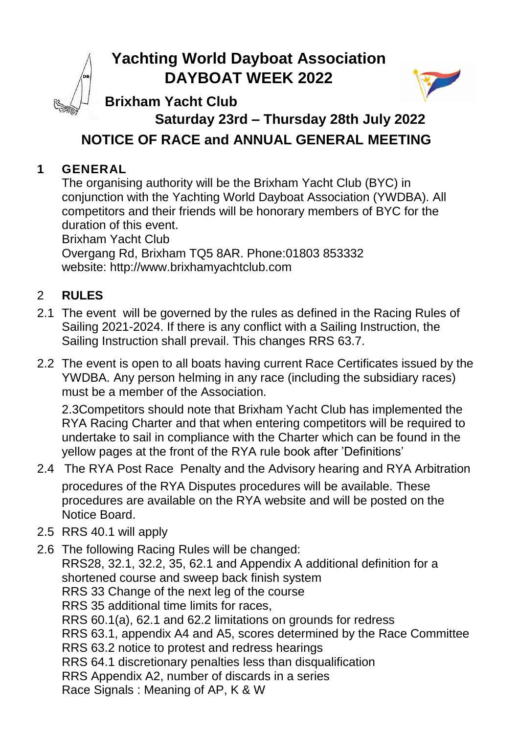# **Yachting World Dayboat Association DAYBOAT WEEK 2022**



## **Brixham Yacht Club**

# **Saturday 23rd – Thursday 28th July 2022 NOTICE OF RACE and ANNUAL GENERAL MEETING**

## **1 GENERAL**

The organising authority will be the Brixham Yacht Club (BYC) in conjunction with the Yachting World Dayboat Association (YWDBA). All competitors and their friends will be honorary members of BYC for the duration of this event.

Brixham Yacht Club Overgang Rd, Brixham TQ5 8AR. Phone:01803 853332 website: http://www.brixhamyachtclub.com

## 2 **RULES**

- 2.1 The event will be governed by the rules as defined in the Racing Rules of Sailing 2021-2024. If there is any conflict with a Sailing Instruction, the Sailing Instruction shall prevail. This changes RRS 63.7.
- 2.2 The event is open to all boats having current Race Certificates issued by the YWDBA. Any person helming in any race (including the subsidiary races) must be a member of the Association.

2.3Competitors should note that Brixham Yacht Club has implemented the RYA Racing Charter and that when entering competitors will be required to undertake to sail in compliance with the Charter which can be found in the yellow pages at the front of the RYA rule book after 'Definitions'

- 2.4 The RYA Post Race Penalty and the Advisory hearing and RYA Arbitration procedures of the RYA Disputes procedures will be available. These procedures are available on the RYA website and will be posted on the Notice Board.
- 2.5 RRS 40.1 will apply
- 2.6 The following Racing Rules will be changed: RRS28, 32.1, 32.2, 35, 62.1 and Appendix A additional definition for a shortened course and sweep back finish system RRS 33 Change of the next leg of the course RRS 35 additional time limits for races, RRS 60.1(a), 62.1 and 62.2 limitations on grounds for redress RRS 63.1, appendix A4 and A5, scores determined by the Race Committee RRS 63.2 notice to protest and redress hearings RRS 64.1 discretionary penalties less than disqualification RRS Appendix A2, number of discards in a series Race Signals : Meaning of AP, K & W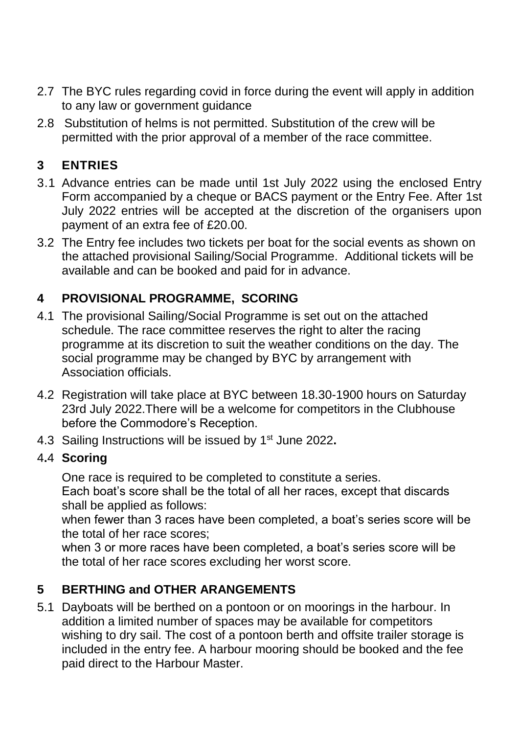- 2.7 The BYC rules regarding covid in force during the event will apply in addition to any law or government guidance
- 2.8 Substitution of helms is not permitted. Substitution of the crew will be permitted with the prior approval of a member of the race committee.

## **3 ENTRIES**

- 3.1 Advance entries can be made until 1st July 2022 using the enclosed Entry Form accompanied by a cheque or BACS payment or the Entry Fee. After 1st July 2022 entries will be accepted at the discretion of the organisers upon payment of an extra fee of £20.00.
- 3.2 The Entry fee includes two tickets per boat for the social events as shown on the attached provisional Sailing/Social Programme. Additional tickets will be available and can be booked and paid for in advance.

## **4 PROVISIONAL PROGRAMME, SCORING**

- 4.1 The provisional Sailing/Social Programme is set out on the attached schedule. The race committee reserves the right to alter the racing programme at its discretion to suit the weather conditions on the day. The social programme may be changed by BYC by arrangement with Association officials.
- 4.2 Registration will take place at BYC between 18.30-1900 hours on Saturday 23rd July 2022.There will be a welcome for competitors in the Clubhouse before the Commodore's Reception.
- 4.3 Sailing Instructions will be issued by 1 st June 2022**.**

#### 4**.**4 **Scoring**

One race is required to be completed to constitute a series. Each boat's score shall be the total of all her races, except that discards shall be applied as follows:

when fewer than 3 races have been completed, a boat's series score will be the total of her race scores;

when 3 or more races have been completed, a boat's series score will be the total of her race scores excluding her worst score.

## **5 BERTHING and OTHER ARANGEMENTS**

5.1 Dayboats will be berthed on a pontoon or on moorings in the harbour. In addition a limited number of spaces may be available for competitors wishing to dry sail. The cost of a pontoon berth and offsite trailer storage is included in the entry fee. A harbour mooring should be booked and the fee paid direct to the Harbour Master.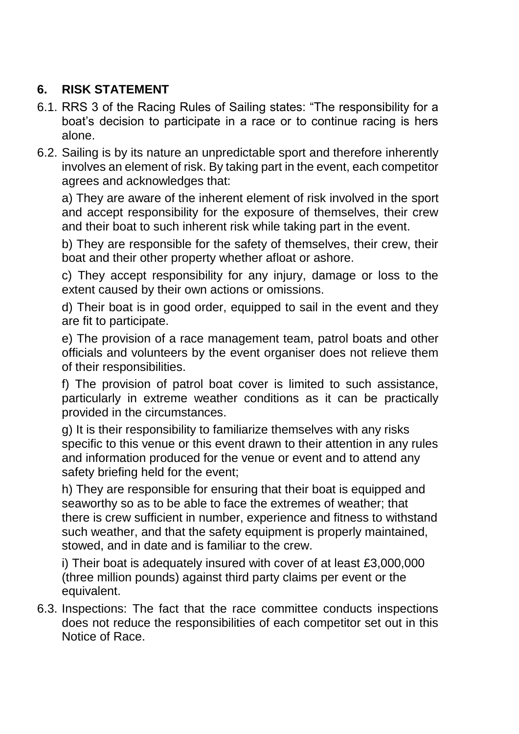## **6. RISK STATEMENT**

- 6.1. RRS 3 of the Racing Rules of Sailing states: "The responsibility for a boat's decision to participate in a race or to continue racing is hers alone.
- 6.2. Sailing is by its nature an unpredictable sport and therefore inherently involves an element of risk. By taking part in the event, each competitor agrees and acknowledges that:

a) They are aware of the inherent element of risk involved in the sport and accept responsibility for the exposure of themselves, their crew and their boat to such inherent risk while taking part in the event.

b) They are responsible for the safety of themselves, their crew, their boat and their other property whether afloat or ashore.

c) They accept responsibility for any injury, damage or loss to the extent caused by their own actions or omissions.

d) Their boat is in good order, equipped to sail in the event and they are fit to participate.

e) The provision of a race management team, patrol boats and other officials and volunteers by the event organiser does not relieve them of their responsibilities.

f) The provision of patrol boat cover is limited to such assistance, particularly in extreme weather conditions as it can be practically provided in the circumstances.

g) It is their responsibility to familiarize themselves with any risks specific to this venue or this event drawn to their attention in any rules and information produced for the venue or event and to attend any safety briefing held for the event;

h) They are responsible for ensuring that their boat is equipped and seaworthy so as to be able to face the extremes of weather; that there is crew sufficient in number, experience and fitness to withstand such weather, and that the safety equipment is properly maintained, stowed, and in date and is familiar to the crew.

i) Their boat is adequately insured with cover of at least £3,000,000 (three million pounds) against third party claims per event or the equivalent.

6.3. Inspections: The fact that the race committee conducts inspections does not reduce the responsibilities of each competitor set out in this Notice of Race.